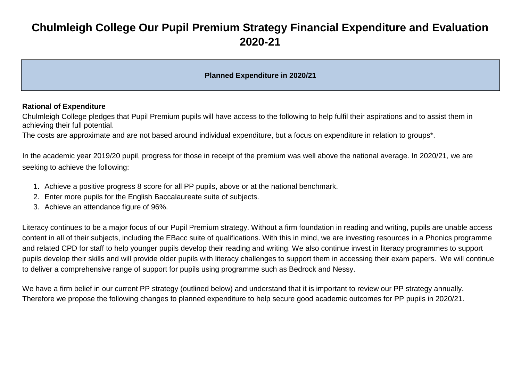# **Chulmleigh College Our Pupil Premium Strategy Financial Expenditure and Evaluation 2020-21**

### **Planned Expenditure in 2020/21**

#### **Rational of Expenditure**

Chulmleigh College pledges that Pupil Premium pupils will have access to the following to help fulfil their aspirations and to assist them in achieving their full potential.

The costs are approximate and are not based around individual expenditure, but a focus on expenditure in relation to groups\*.

In the academic year 2019/20 pupil, progress for those in receipt of the premium was well above the national average. In 2020/21, we are seeking to achieve the following:

- 1. Achieve a positive progress 8 score for all PP pupils, above or at the national benchmark.
- 2. Enter more pupils for the English Baccalaureate suite of subjects.
- 3. Achieve an attendance figure of 96%.

Literacy continues to be a major focus of our Pupil Premium strategy. Without a firm foundation in reading and writing, pupils are unable access content in all of their subjects, including the EBacc suite of qualifications. With this in mind, we are investing resources in a Phonics programme and related CPD for staff to help younger pupils develop their reading and writing. We also continue invest in literacy programmes to support pupils develop their skills and will provide older pupils with literacy challenges to support them in accessing their exam papers. We will continue to deliver a comprehensive range of support for pupils using programme such as Bedrock and Nessy.

We have a firm belief in our current PP strategy (outlined below) and understand that it is important to review our PP strategy annually. Therefore we propose the following changes to planned expenditure to help secure good academic outcomes for PP pupils in 2020/21.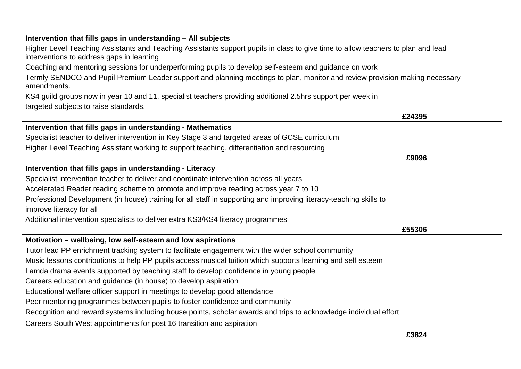| Intervention that fills gaps in understanding - All subjects                                                                                                                  |        |
|-------------------------------------------------------------------------------------------------------------------------------------------------------------------------------|--------|
| Higher Level Teaching Assistants and Teaching Assistants support pupils in class to give time to allow teachers to plan and lead<br>interventions to address gaps in learning |        |
| Coaching and mentoring sessions for underperforming pupils to develop self-esteem and guidance on work                                                                        |        |
| Termly SENDCO and Pupil Premium Leader support and planning meetings to plan, monitor and review provision making necessary<br>amendments.                                    |        |
| KS4 guild groups now in year 10 and 11, specialist teachers providing additional 2.5hrs support per week in                                                                   |        |
| targeted subjects to raise standards.                                                                                                                                         |        |
|                                                                                                                                                                               | £24395 |
| Intervention that fills gaps in understanding - Mathematics                                                                                                                   |        |
| Specialist teacher to deliver intervention in Key Stage 3 and targeted areas of GCSE curriculum                                                                               |        |
| Higher Level Teaching Assistant working to support teaching, differentiation and resourcing                                                                                   |        |
|                                                                                                                                                                               | £9096  |
| Intervention that fills gaps in understanding - Literacy                                                                                                                      |        |
| Specialist intervention teacher to deliver and coordinate intervention across all years                                                                                       |        |
| Accelerated Reader reading scheme to promote and improve reading across year 7 to 10                                                                                          |        |
| Professional Development (in house) training for all staff in supporting and improving literacy-teaching skills to                                                            |        |
| improve literacy for all                                                                                                                                                      |        |
| Additional intervention specialists to deliver extra KS3/KS4 literacy programmes                                                                                              |        |
|                                                                                                                                                                               | £55306 |
| Motivation - wellbeing, low self-esteem and low aspirations                                                                                                                   |        |
| Tutor lead PP enrichment tracking system to facilitate engagement with the wider school community                                                                             |        |
| Music lessons contributions to help PP pupils access musical tuition which supports learning and self esteem                                                                  |        |
| Lamda drama events supported by teaching staff to develop confidence in young people                                                                                          |        |
| Careers education and guidance (in house) to develop aspiration                                                                                                               |        |
| Educational welfare officer support in meetings to develop good attendance                                                                                                    |        |
| Peer mentoring programmes between pupils to foster confidence and community                                                                                                   |        |
| Recognition and reward systems including house points, scholar awards and trips to acknowledge individual effort                                                              |        |
| Careers South West appointments for post 16 transition and aspiration                                                                                                         |        |
|                                                                                                                                                                               | £3824  |